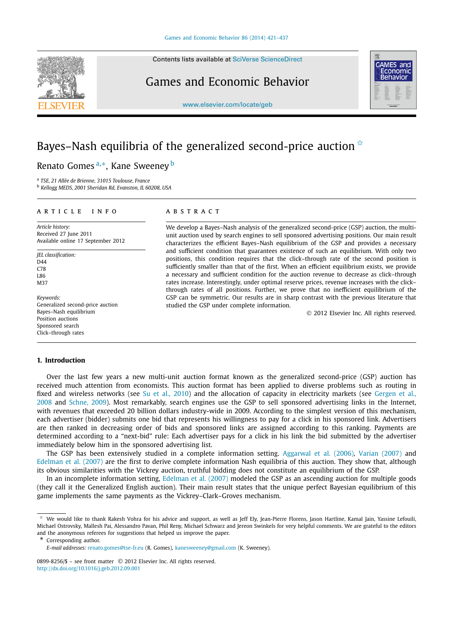Contents lists available at [SciVerse ScienceDirect](http://www.ScienceDirect.com/)

## Games and Economic Behavior

[www.elsevier.com/locate/geb](http://www.elsevier.com/locate/geb)

# **GAMES** and conomic

# Bayes–Nash equilibria of the generalized second-price auction  $\dot{x}$

Renato Gomes <sup>a</sup>*,*∗, Kane Sweeney <sup>b</sup>

<sup>a</sup> *TSE, 21 Allée de Brienne, 31015 Toulouse, France*

<sup>b</sup> *Kellogg MEDS, 2001 Sheridan Rd, Evanston, IL 60208, USA*

#### article info abstract

*Article history:* Received 27 June 2011 Available online 17 September 2012

*JEL classification:*  $\Gamma$ D $\Delta$ A C<sub>78</sub> L86 M37

*Keywords:* Generalized second-price auction Bayes–Nash equilibrium Position auctions Sponsored search Click–through rates

### **1. Introduction**

We develop a Bayes–Nash analysis of the generalized second-price (GSP) auction, the multiunit auction used by search engines to sell sponsored advertising positions. Our main result characterizes the efficient Bayes–Nash equilibrium of the GSP and provides a necessary and sufficient condition that guarantees existence of such an equilibrium. With only two positions, this condition requires that the click–through rate of the second position is sufficiently smaller than that of the first. When an efficient equilibrium exists, we provide a necessary and sufficient condition for the auction revenue to decrease as click–through rates increase. Interestingly, under optimal reserve prices, revenue increases with the click– through rates of all positions. Further, we prove that no inefficient equilibrium of the GSP can be symmetric. Our results are in sharp contrast with the previous literature that studied the GSP under complete information.

© 2012 Elsevier Inc. All rights reserved.

Over the last few years a new multi-unit auction format known as the generalized second-price (GSP) auction has received much attention from economists. This auction format has been applied to diverse problems such as routing in fixed and wireless networks (see [Su et al., 2010\)](#page--1-0) and the allocation of capacity in electricity markets (see [Gergen et al.,](#page--1-0) [2008](#page--1-0) and [Schne, 2009\)](#page--1-0). Most remarkably, search engines use the GSP to sell sponsored advertising links in the Internet, with revenues that exceeded 20 billion dollars industry-wide in 2009. According to the simplest version of this mechanism, each advertiser (bidder) submits one bid that represents his willingness to pay for a click in his sponsored link. Advertisers are then ranked in decreasing order of bids and sponsored links are assigned according to this ranking. Payments are determined according to a "next-bid" rule: Each advertiser pays for a click in his link the bid submitted by the advertiser immediately below him in the sponsored advertising list.

The GSP has been extensively studied in a complete information setting. [Aggarwal et al. \(2006\),](#page--1-0) [Varian \(2007\)](#page--1-0) and [Edelman et al. \(2007\)](#page--1-0) are the first to derive complete information Nash equilibria of this auction. They show that, although its obvious similarities with the Vickrey auction, truthful bidding does not constitute an equilibrium of the GSP.

In an incomplete information setting, Edelman [et al. \(2007\)](#page--1-0) modeled the GSP as an ascending auction for multiple goods (they call it the Generalized English auction). Their main result states that the unique perfect Bayesian equilibrium of this game implements the same payments as the Vickrey–Clark–Groves mechanism.

\* Corresponding author.



 $*$  We would like to thank Rakesh Vohra for his advice and support, as well as leff Ely, Jean-Pierre Florens, Jason Hartline, Kamal Jain, Yassine Lefouili, Michael Ostrovsky, Mallesh Pai, Alessandro Pavan, Phil Reny, Michael Schwarz and Jereon Swinkels for very helpful comments. We are grateful to the editors and the anonymous referees for suggestions that helped us improve the paper.

*E-mail addresses:* [renato.gomes@tse-fr.eu](mailto:renato.gomes@tse-fr.eu) (R. Gomes), [kanesweeney@gmail.com](mailto:kanesweeney@gmail.com) (K. Sweeney).

<sup>0899-8256/\$ –</sup> see front matter © 2012 Elsevier Inc. All rights reserved. <http://dx.doi.org/10.1016/j.geb.2012.09.001>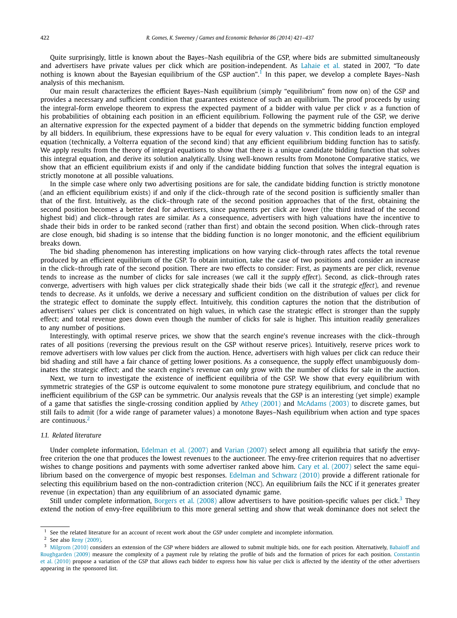Quite surprisingly, little is known about the Bayes–Nash equilibria of the GSP, where bids are submitted simultaneously and advertisers have private values per click which are position-independent. As [Lahaie et al.](#page--1-0) stated in 2007, "To date nothing is known about the Bayesian equilibrium of the GSP auction".<sup>1</sup> In this paper, we develop a complete Bayes–Nash analysis of this mechanism.

Our main result characterizes the efficient Bayes–Nash equilibrium (simply "equilibrium" from now on) of the GSP and provides a necessary and sufficient condition that guarantees existence of such an equilibrium. The proof proceeds by using the integral-form envelope theorem to express the expected payment of a bidder with value per click *v* as a function of his probabilities of obtaining each position in an efficient equilibrium. Following the payment rule of the GSP, we derive an alternative expression for the expected payment of a bidder that depends on the symmetric bidding function employed by all bidders. In equilibrium, these expressions have to be equal for every valuation *v*. This condition leads to an integral equation (technically, a Volterra equation of the second kind) that any efficient equilibrium bidding function has to satisfy. We apply results from the theory of integral equations to show that there is a unique candidate bidding function that solves this integral equation, and derive its solution analytically. Using well-known results from Monotone Comparative statics, we show that an efficient equilibrium exists if and only if the candidate bidding function that solves the integral equation is strictly monotone at all possible valuations.

In the simple case where only two advertising positions are for sale, the candidate bidding function is strictly monotone (and an efficient equilibrium exists) if and only if the click–through rate of the second position is sufficiently smaller than that of the first. Intuitively, as the click–through rate of the second position approaches that of the first, obtaining the second position becomes a better deal for advertisers, since payments per click are lower (the third instead of the second highest bid) and click–through rates are similar. As a consequence, advertisers with high valuations have the incentive to shade their bids in order to be ranked second (rather than first) and obtain the second position. When click–through rates are close enough, bid shading is so intense that the bidding function is no longer monotonic, and the efficient equilibrium breaks down.

The bid shading phenomenon has interesting implications on how varying click–through rates affects the total revenue produced by an efficient equilibrium of the GSP. To obtain intuition, take the case of two positions and consider an increase in the click–through rate of the second position. There are two effects to consider: First, as payments are per click, revenue tends to increase as the number of clicks for sale increases (we call it the *supply effect*). Second, as click–through rates converge, advertisers with high values per click strategically shade their bids (we call it the *strategic effect*), and revenue tends to decrease. As it unfolds, we derive a necessary and sufficient condition on the distribution of values per click for the strategic effect to dominate the supply effect. Intuitively, this condition captures the notion that the distribution of advertisers' values per click is concentrated on high values, in which case the strategic effect is stronger than the supply effect; and total revenue goes down even though the number of clicks for sale is higher. This intuition readily generalizes to any number of positions.

Interestingly, with optimal reserve prices, we show that the search engine's revenue increases with the click–through rates of all positions (reversing the previous result on the GSP without reserve prices). Intuitively, reserve prices work to remove advertisers with low values per click from the auction. Hence, advertisers with high values per click can reduce their bid shading and still have a fair chance of getting lower positions. As a consequence, the supply effect unambiguously dominates the strategic effect; and the search engine's revenue can only grow with the number of clicks for sale in the auction.

Next, we turn to investigate the existence of inefficient equilibria of the GSP. We show that every equilibrium with symmetric strategies of the GSP is outcome equivalent to some monotone pure strategy equilibrium, and conclude that no inefficient equilibrium of the GSP can be symmetric. Our analysis reveals that the GSP is an interesting (yet simple) example of a game that satisfies the single-crossing condition applied by [Athey \(2001\)](#page--1-0) and [McAdams \(2003\)](#page--1-0) to discrete games, but still fails to admit (for a wide range of parameter values) a monotone Bayes–Nash equilibrium when action and type spaces are continuous.<sup>2</sup>

#### *1.1. Related literature*

Under complete information, [Edelman et al. \(2007\)](#page--1-0) and [Varian \(2007\)](#page--1-0) select among all equilibria that satisfy the envyfree criterion the one that produces the lowest revenues to the auctioneer. The envy-free criterion requires that no advertiser wishes to change positions and payments with some advertiser ranked above him. [Cary et al. \(2007\)](#page--1-0) select the same equi-librium based on the convergence of myopic best responses. [Edelman and Schwarz \(2010\)](#page--1-0) provide a different rationale for selecting this equilibrium based on the non-contradiction criterion (NCC). An equilibrium fails the NCC if it generates greater revenue (in expectation) than any equilibrium of an associated dynamic game.

Still under complete information, [Borgers et al. \(2008\)](#page--1-0) allow advertisers to have position-specific values per click.<sup>3</sup> They extend the notion of envy-free equilibrium to this more general setting and show that weak dominance does not select the

<sup>&</sup>lt;sup>1</sup> See the related literature for an account of recent work about the GSP under complete and incomplete information.<br><sup>2</sup> See also Bany (2009)

See also [Reny \(2009\).](#page--1-0)

<sup>&</sup>lt;sup>3</sup> [Milgrom \(2010\)](#page--1-0) considers an extension of the GSP where bidders are allowed to submit multiple bids, one for each position. Alternatively, [Babaioff and](#page--1-0) [Roughgarden \(2009\)](#page--1-0) measure the complexity of a payment rule by relating the profile of bids and the formation of prices for each position. [Constantin](#page--1-0) [et al. \(2010\)](#page--1-0) propose a variation of the GSP that allows each bidder to express how his value per click is affected by the identity of the other advertisers appearing in the sponsored list.